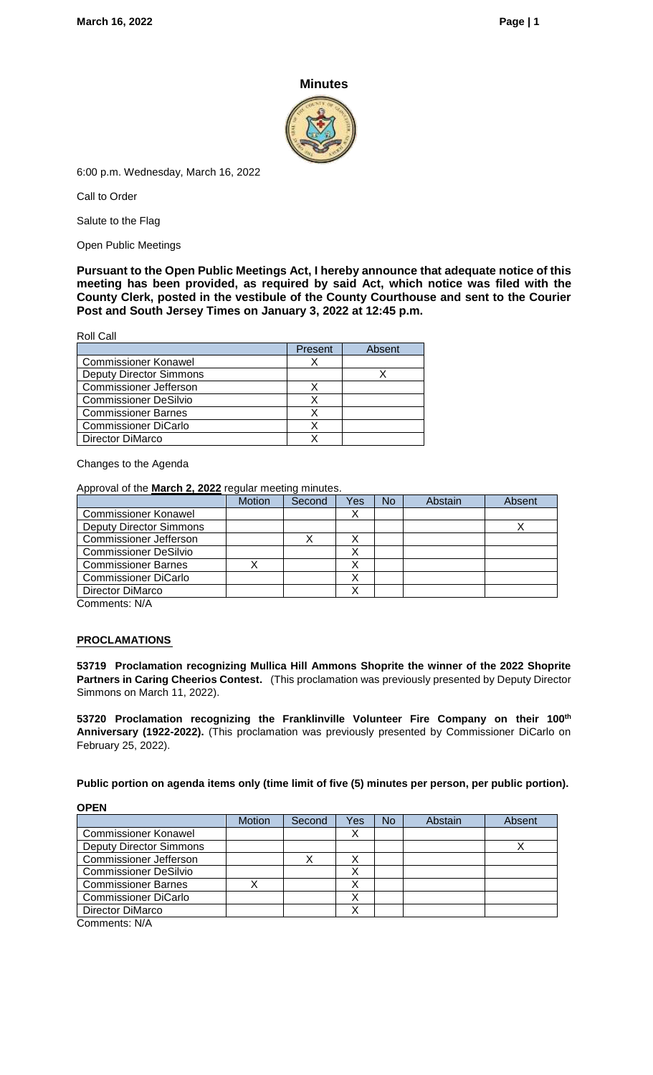## **Minutes**



6:00 p.m. Wednesday, March 16, 2022

Call to Order

Salute to the Flag

Open Public Meetings

**Pursuant to the Open Public Meetings Act, I hereby announce that adequate notice of this meeting has been provided, as required by said Act, which notice was filed with the County Clerk, posted in the vestibule of the County Courthouse and sent to the Courier Post and South Jersey Times on January 3, 2022 at 12:45 p.m.**

Roll Call

|                                | Present | Absent |
|--------------------------------|---------|--------|
| <b>Commissioner Konawel</b>    |         |        |
| <b>Deputy Director Simmons</b> |         |        |
| <b>Commissioner Jefferson</b>  |         |        |
| <b>Commissioner DeSilvio</b>   |         |        |
| <b>Commissioner Barnes</b>     |         |        |
| <b>Commissioner DiCarlo</b>    |         |        |
| Director DiMarco               |         |        |

Changes to the Agenda

Approval of the **March 2, 2022** regular meeting minutes.

|                                | <b>Motion</b> | Second | Yes | <b>No</b> | Abstain | Absent |
|--------------------------------|---------------|--------|-----|-----------|---------|--------|
| <b>Commissioner Konawel</b>    |               |        |     |           |         |        |
| <b>Deputy Director Simmons</b> |               |        |     |           |         |        |
| <b>Commissioner Jefferson</b>  |               |        |     |           |         |        |
| <b>Commissioner DeSilvio</b>   |               |        |     |           |         |        |
| <b>Commissioner Barnes</b>     |               |        |     |           |         |        |
| <b>Commissioner DiCarlo</b>    |               |        | ́   |           |         |        |
| Director DiMarco               |               |        |     |           |         |        |
| Commoner: N/A                  |               |        |     |           |         |        |

Comments: N/A

### **PROCLAMATIONS**

**53719 Proclamation recognizing Mullica Hill Ammons Shoprite the winner of the 2022 Shoprite Partners in Caring Cheerios Contest.** (This proclamation was previously presented by Deputy Director Simmons on March 11, 2022).

**53720 Proclamation recognizing the Franklinville Volunteer Fire Company on their 100th Anniversary (1922-2022).** (This proclamation was previously presented by Commissioner DiCarlo on February 25, 2022).

**Public portion on agenda items only (time limit of five (5) minutes per person, per public portion).**

### **OPEN**

|                                | <b>Motion</b> | Second | Yes | No | Abstain | Absent |
|--------------------------------|---------------|--------|-----|----|---------|--------|
| <b>Commissioner Konawel</b>    |               |        |     |    |         |        |
| <b>Deputy Director Simmons</b> |               |        |     |    |         |        |
| <b>Commissioner Jefferson</b>  |               | х      | ⋏   |    |         |        |
| <b>Commissioner DeSilvio</b>   |               |        | Х   |    |         |        |
| <b>Commissioner Barnes</b>     |               |        |     |    |         |        |
| <b>Commissioner DiCarlo</b>    |               |        | ⋏   |    |         |        |
| Director DiMarco               |               |        |     |    |         |        |
| $Common$ ente: $N/\Delta$      |               |        |     |    |         |        |

Comments: N/A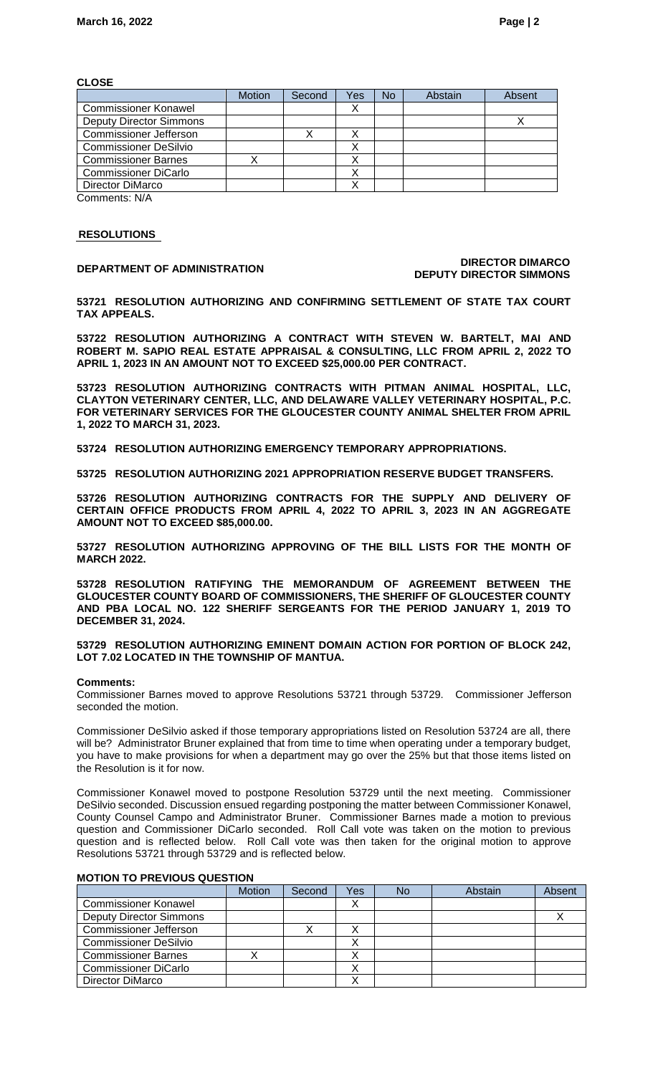### **CLOSE**

|                                                | <b>Motion</b> | Second | Yes | <b>No</b> | Abstain | Absent |
|------------------------------------------------|---------------|--------|-----|-----------|---------|--------|
| <b>Commissioner Konawel</b>                    |               |        |     |           |         |        |
| <b>Deputy Director Simmons</b>                 |               |        |     |           |         |        |
| <b>Commissioner Jefferson</b>                  |               |        |     |           |         |        |
| <b>Commissioner DeSilvio</b>                   |               |        | ⌒   |           |         |        |
| <b>Commissioner Barnes</b>                     |               |        |     |           |         |        |
| <b>Commissioner DiCarlo</b>                    |               |        |     |           |         |        |
| Director DiMarco                               |               |        |     |           |         |        |
| $Q_{\text{max}}$ and $\text{max}$ $\text{min}$ |               |        |     |           |         |        |

Comments: N/A

### **RESOLUTIONS**

### **DEPARTMENT OF ADMINISTRATION DIRECTOR DIMARCO DEPUTY DIRECTOR SIMMONS**

**53721 RESOLUTION AUTHORIZING AND CONFIRMING SETTLEMENT OF STATE TAX COURT TAX APPEALS.**

**53722 RESOLUTION AUTHORIZING A CONTRACT WITH STEVEN W. BARTELT, MAI AND ROBERT M. SAPIO REAL ESTATE APPRAISAL & CONSULTING, LLC FROM APRIL 2, 2022 TO APRIL 1, 2023 IN AN AMOUNT NOT TO EXCEED \$25,000.00 PER CONTRACT.**

**53723 RESOLUTION AUTHORIZING CONTRACTS WITH PITMAN ANIMAL HOSPITAL, LLC, CLAYTON VETERINARY CENTER, LLC, AND DELAWARE VALLEY VETERINARY HOSPITAL, P.C. FOR VETERINARY SERVICES FOR THE GLOUCESTER COUNTY ANIMAL SHELTER FROM APRIL 1, 2022 TO MARCH 31, 2023.**

**53724 RESOLUTION AUTHORIZING EMERGENCY TEMPORARY APPROPRIATIONS.**

**53725 RESOLUTION AUTHORIZING 2021 APPROPRIATION RESERVE BUDGET TRANSFERS.** 

**53726 RESOLUTION AUTHORIZING CONTRACTS FOR THE SUPPLY AND DELIVERY OF CERTAIN OFFICE PRODUCTS FROM APRIL 4, 2022 TO APRIL 3, 2023 IN AN AGGREGATE AMOUNT NOT TO EXCEED \$85,000.00.**

**53727 RESOLUTION AUTHORIZING APPROVING OF THE BILL LISTS FOR THE MONTH OF MARCH 2022.**

**53728 RESOLUTION RATIFYING THE MEMORANDUM OF AGREEMENT BETWEEN THE GLOUCESTER COUNTY BOARD OF COMMISSIONERS, THE SHERIFF OF GLOUCESTER COUNTY AND PBA LOCAL NO. 122 SHERIFF SERGEANTS FOR THE PERIOD JANUARY 1, 2019 TO DECEMBER 31, 2024.**

### **53729 RESOLUTION AUTHORIZING EMINENT DOMAIN ACTION FOR PORTION OF BLOCK 242, LOT 7.02 LOCATED IN THE TOWNSHIP OF MANTUA.**

### **Comments:**

Commissioner Barnes moved to approve Resolutions 53721 through 53729. Commissioner Jefferson seconded the motion.

Commissioner DeSilvio asked if those temporary appropriations listed on Resolution 53724 are all, there will be? Administrator Bruner explained that from time to time when operating under a temporary budget, you have to make provisions for when a department may go over the 25% but that those items listed on the Resolution is it for now.

Commissioner Konawel moved to postpone Resolution 53729 until the next meeting. Commissioner DeSilvio seconded. Discussion ensued regarding postponing the matter between Commissioner Konawel, County Counsel Campo and Administrator Bruner. Commissioner Barnes made a motion to previous question and Commissioner DiCarlo seconded. Roll Call vote was taken on the motion to previous question and is reflected below. Roll Call vote was then taken for the original motion to approve Resolutions 53721 through 53729 and is reflected below.

### **MOTION TO PREVIOUS QUESTION**

|                                | <b>Motion</b> | Second | Yes | No | Abstain | Absent |
|--------------------------------|---------------|--------|-----|----|---------|--------|
| <b>Commissioner Konawel</b>    |               |        |     |    |         |        |
| <b>Deputy Director Simmons</b> |               |        |     |    |         |        |
| <b>Commissioner Jefferson</b>  |               |        |     |    |         |        |
| <b>Commissioner DeSilvio</b>   |               |        |     |    |         |        |
| <b>Commissioner Barnes</b>     |               |        |     |    |         |        |
| <b>Commissioner DiCarlo</b>    |               |        |     |    |         |        |
| Director DiMarco               |               |        |     |    |         |        |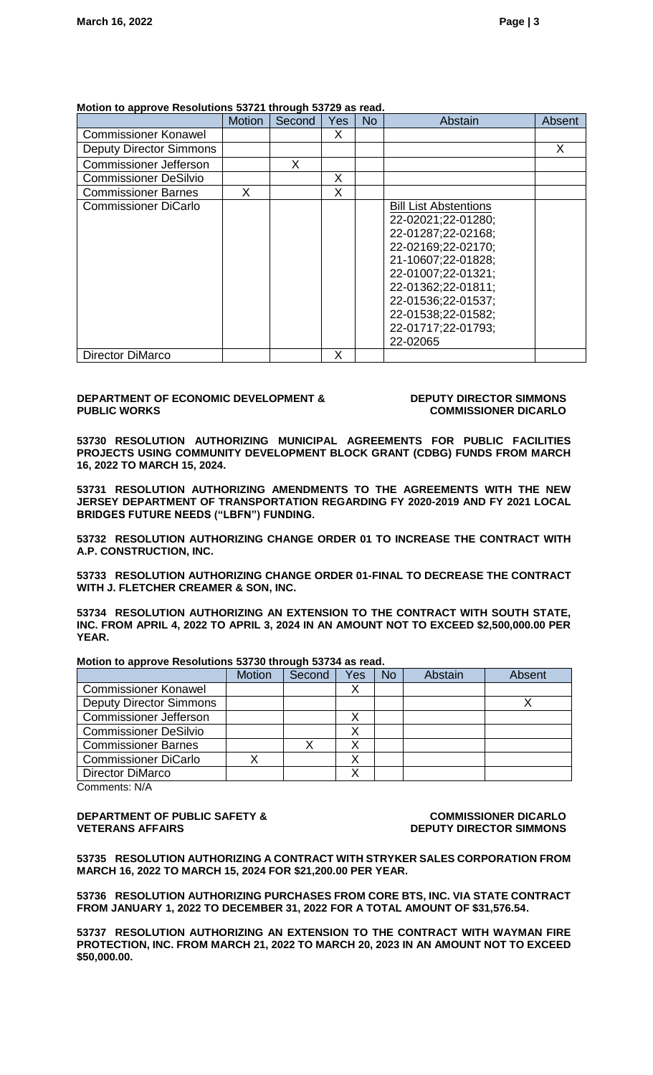### **Motion to approve Resolutions 53721 through 53729 as read.**

|                                | <b>Motion</b> | Second | Yes | No | Abstain                      | Absent |
|--------------------------------|---------------|--------|-----|----|------------------------------|--------|
| <b>Commissioner Konawel</b>    |               |        | X   |    |                              |        |
| <b>Deputy Director Simmons</b> |               |        |     |    |                              | X      |
| <b>Commissioner Jefferson</b>  |               | х      |     |    |                              |        |
| <b>Commissioner DeSilvio</b>   |               |        | X   |    |                              |        |
| <b>Commissioner Barnes</b>     | X             |        | X   |    |                              |        |
| <b>Commissioner DiCarlo</b>    |               |        |     |    | <b>Bill List Abstentions</b> |        |
|                                |               |        |     |    | 22-02021;22-01280;           |        |
|                                |               |        |     |    | 22-01287;22-02168;           |        |
|                                |               |        |     |    | 22-02169;22-02170;           |        |
|                                |               |        |     |    | 21-10607;22-01828;           |        |
|                                |               |        |     |    | 22-01007;22-01321;           |        |
|                                |               |        |     |    | 22-01362;22-01811;           |        |
|                                |               |        |     |    | 22-01536;22-01537;           |        |
|                                |               |        |     |    | 22-01538;22-01582;           |        |
|                                |               |        |     |    | 22-01717;22-01793;           |        |
|                                |               |        |     |    | 22-02065                     |        |
| <b>Director DiMarco</b>        |               |        | X   |    |                              |        |

### **DEPARTMENT OF ECONOMIC DEVELOPMENT & PUBLIC WORKS**

### **DEPUTY DIRECTOR SIMMONS COMMISSIONER DICARLO**

**53730 RESOLUTION AUTHORIZING MUNICIPAL AGREEMENTS FOR PUBLIC FACILITIES PROJECTS USING COMMUNITY DEVELOPMENT BLOCK GRANT (CDBG) FUNDS FROM MARCH 16, 2022 TO MARCH 15, 2024.**

**53731 RESOLUTION AUTHORIZING AMENDMENTS TO THE AGREEMENTS WITH THE NEW JERSEY DEPARTMENT OF TRANSPORTATION REGARDING FY 2020-2019 AND FY 2021 LOCAL BRIDGES FUTURE NEEDS ("LBFN") FUNDING.** 

**53732 RESOLUTION AUTHORIZING CHANGE ORDER 01 TO INCREASE THE CONTRACT WITH A.P. CONSTRUCTION, INC.**

**53733 RESOLUTION AUTHORIZING CHANGE ORDER 01-FINAL TO DECREASE THE CONTRACT WITH J. FLETCHER CREAMER & SON, INC.**

**53734 RESOLUTION AUTHORIZING AN EXTENSION TO THE CONTRACT WITH SOUTH STATE, INC. FROM APRIL 4, 2022 TO APRIL 3, 2024 IN AN AMOUNT NOT TO EXCEED \$2,500,000.00 PER YEAR.**

|                                | <b>Motion</b> | Second | Yes | No. | Abstain | Absent |
|--------------------------------|---------------|--------|-----|-----|---------|--------|
| <b>Commissioner Konawel</b>    |               |        |     |     |         |        |
| <b>Deputy Director Simmons</b> |               |        |     |     |         |        |
| <b>Commissioner Jefferson</b>  |               |        |     |     |         |        |
| <b>Commissioner DeSilvio</b>   |               |        |     |     |         |        |
| <b>Commissioner Barnes</b>     |               |        |     |     |         |        |
| <b>Commissioner DiCarlo</b>    |               |        | Λ   |     |         |        |
| <b>Director DiMarco</b>        |               |        |     |     |         |        |
|                                |               |        |     |     |         |        |

### **Motion to approve Resolutions 53730 through 53734 as read.**

Comments: N/A

### **DEPARTMENT OF PUBLIC SAFETY & VETERANS AFFAIRS**

**COMMISSIONER DICARLO DEPUTY DIRECTOR SIMMONS**

**53735 RESOLUTION AUTHORIZING A CONTRACT WITH STRYKER SALES CORPORATION FROM MARCH 16, 2022 TO MARCH 15, 2024 FOR \$21,200.00 PER YEAR.**

**53736 RESOLUTION AUTHORIZING PURCHASES FROM CORE BTS, INC. VIA STATE CONTRACT FROM JANUARY 1, 2022 TO DECEMBER 31, 2022 FOR A TOTAL AMOUNT OF \$31,576.54.**

**53737 RESOLUTION AUTHORIZING AN EXTENSION TO THE CONTRACT WITH WAYMAN FIRE PROTECTION, INC. FROM MARCH 21, 2022 TO MARCH 20, 2023 IN AN AMOUNT NOT TO EXCEED \$50,000.00.**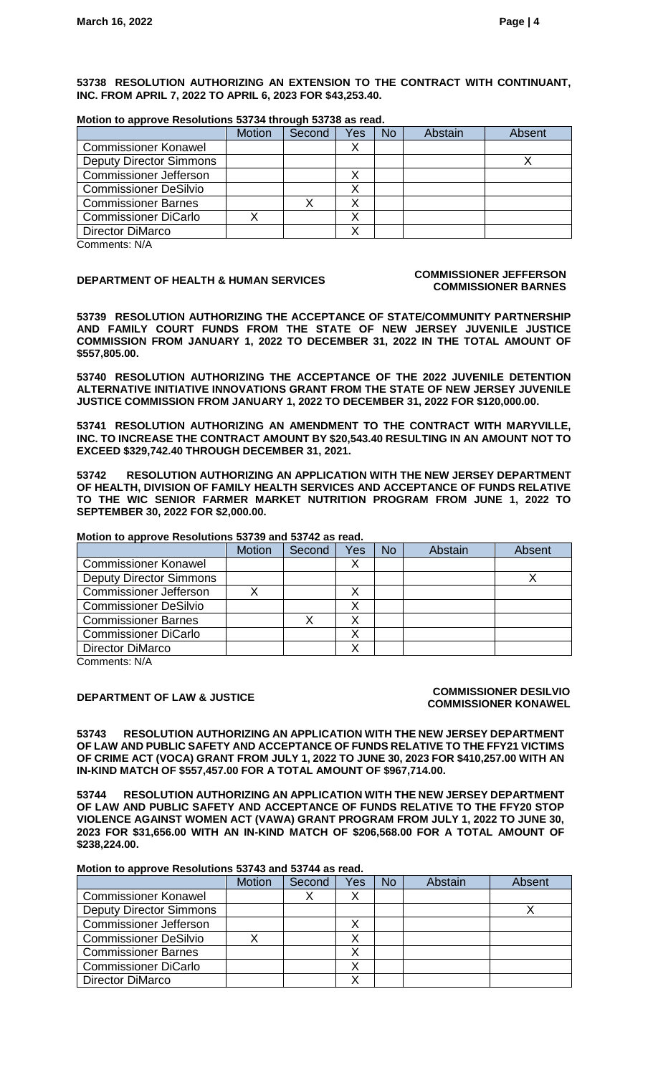**53738 RESOLUTION AUTHORIZING AN EXTENSION TO THE CONTRACT WITH CONTINUANT, INC. FROM APRIL 7, 2022 TO APRIL 6, 2023 FOR \$43,253.40.**

### **Motion to approve Resolutions 53734 through 53738 as read.**

|                                | <b>Motion</b> | Second | Yes | <b>No</b> | Abstain | Absent |
|--------------------------------|---------------|--------|-----|-----------|---------|--------|
| <b>Commissioner Konawel</b>    |               |        |     |           |         |        |
| <b>Deputy Director Simmons</b> |               |        |     |           |         |        |
| <b>Commissioner Jefferson</b>  |               |        | v   |           |         |        |
| <b>Commissioner DeSilvio</b>   |               |        |     |           |         |        |
| <b>Commissioner Barnes</b>     |               |        |     |           |         |        |
| <b>Commissioner DiCarlo</b>    |               |        |     |           |         |        |
| <b>Director DiMarco</b>        |               |        |     |           |         |        |
| $Ccommon 0 1 N N$              |               |        |     |           |         |        |

Comments: N/A

## **DEPARTMENT OF HEALTH & HUMAN SERVICES COMMISSIONER JEFFERSON**

# **COMMISSIONER BARNES**

**53739 RESOLUTION AUTHORIZING THE ACCEPTANCE OF STATE/COMMUNITY PARTNERSHIP AND FAMILY COURT FUNDS FROM THE STATE OF NEW JERSEY JUVENILE JUSTICE COMMISSION FROM JANUARY 1, 2022 TO DECEMBER 31, 2022 IN THE TOTAL AMOUNT OF \$557,805.00.** 

**53740 RESOLUTION AUTHORIZING THE ACCEPTANCE OF THE 2022 JUVENILE DETENTION ALTERNATIVE INITIATIVE INNOVATIONS GRANT FROM THE STATE OF NEW JERSEY JUVENILE JUSTICE COMMISSION FROM JANUARY 1, 2022 TO DECEMBER 31, 2022 FOR \$120,000.00.**

**53741 RESOLUTION AUTHORIZING AN AMENDMENT TO THE CONTRACT WITH MARYVILLE, INC. TO INCREASE THE CONTRACT AMOUNT BY \$20,543.40 RESULTING IN AN AMOUNT NOT TO EXCEED \$329,742.40 THROUGH DECEMBER 31, 2021.**

**53742 RESOLUTION AUTHORIZING AN APPLICATION WITH THE NEW JERSEY DEPARTMENT OF HEALTH, DIVISION OF FAMILY HEALTH SERVICES AND ACCEPTANCE OF FUNDS RELATIVE TO THE WIC SENIOR FARMER MARKET NUTRITION PROGRAM FROM JUNE 1, 2022 TO SEPTEMBER 30, 2022 FOR \$2,000.00.**

## **Motion to approve Resolutions 53739 and 53742 as read.**

|                                | <b>Motion</b> | Second | Yes | No | Abstain | Absent |
|--------------------------------|---------------|--------|-----|----|---------|--------|
| <b>Commissioner Konawel</b>    |               |        | ∧   |    |         |        |
| <b>Deputy Director Simmons</b> |               |        |     |    |         |        |
| <b>Commissioner Jefferson</b>  |               |        |     |    |         |        |
| <b>Commissioner DeSilvio</b>   |               |        |     |    |         |        |
| <b>Commissioner Barnes</b>     |               |        | X   |    |         |        |
| <b>Commissioner DiCarlo</b>    |               |        | ∧   |    |         |        |
| Director DiMarco               |               |        |     |    |         |        |

Comments: N/A

### **DEPARTMENT OF LAW & JUSTICE COMMISSIONER DESILVIO COMMISSIONER KONAWEL**

**53743 RESOLUTION AUTHORIZING AN APPLICATION WITH THE NEW JERSEY DEPARTMENT OF LAW AND PUBLIC SAFETY AND ACCEPTANCE OF FUNDS RELATIVE TO THE FFY21 VICTIMS OF CRIME ACT (VOCA) GRANT FROM JULY 1, 2022 TO JUNE 30, 2023 FOR \$410,257.00 WITH AN IN-KIND MATCH OF \$557,457.00 FOR A TOTAL AMOUNT OF \$967,714.00.**

**53744 RESOLUTION AUTHORIZING AN APPLICATION WITH THE NEW JERSEY DEPARTMENT OF LAW AND PUBLIC SAFETY AND ACCEPTANCE OF FUNDS RELATIVE TO THE FFY20 STOP VIOLENCE AGAINST WOMEN ACT (VAWA) GRANT PROGRAM FROM JULY 1, 2022 TO JUNE 30, 2023 FOR \$31,656.00 WITH AN IN-KIND MATCH OF \$206,568.00 FOR A TOTAL AMOUNT OF \$238,224.00.**

### **Motion to approve Resolutions 53743 and 53744 as read.**

|                                | <b>Motion</b> | Second | Yes | <b>No</b> | <b>Abstain</b> | Absent |
|--------------------------------|---------------|--------|-----|-----------|----------------|--------|
| <b>Commissioner Konawel</b>    |               |        |     |           |                |        |
| <b>Deputy Director Simmons</b> |               |        |     |           |                |        |
| <b>Commissioner Jefferson</b>  |               |        | X   |           |                |        |
| <b>Commissioner DeSilvio</b>   |               |        |     |           |                |        |
| <b>Commissioner Barnes</b>     |               |        |     |           |                |        |
| <b>Commissioner DiCarlo</b>    |               |        |     |           |                |        |
| <b>Director DiMarco</b>        |               |        |     |           |                |        |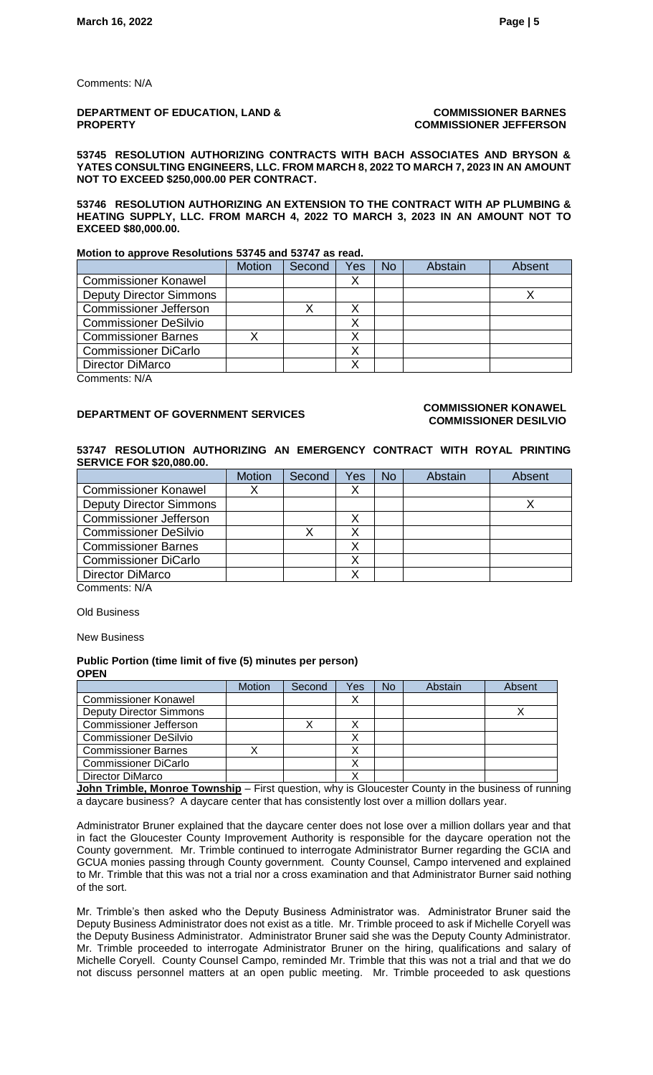Comments: N/A

### **DEPARTMENT OF EDUCATION, LAND & PROPERTY**

### **COMMISSIONER BARNES COMMISSIONER JEFFERSON**

**53745 RESOLUTION AUTHORIZING CONTRACTS WITH BACH ASSOCIATES AND BRYSON & YATES CONSULTING ENGINEERS, LLC. FROM MARCH 8, 2022 TO MARCH 7, 2023 IN AN AMOUNT NOT TO EXCEED \$250,000.00 PER CONTRACT.**

**53746 RESOLUTION AUTHORIZING AN EXTENSION TO THE CONTRACT WITH AP PLUMBING & HEATING SUPPLY, LLC. FROM MARCH 4, 2022 TO MARCH 3, 2023 IN AN AMOUNT NOT TO EXCEED \$80,000.00.**

### **Motion to approve Resolutions 53745 and 53747 as read.**

|                                | <b>Motion</b> | Second | Yes | <b>No</b> | Abstain | Absent |
|--------------------------------|---------------|--------|-----|-----------|---------|--------|
| <b>Commissioner Konawel</b>    |               |        |     |           |         |        |
| <b>Deputy Director Simmons</b> |               |        |     |           |         |        |
| <b>Commissioner Jefferson</b>  |               |        | Λ   |           |         |        |
| <b>Commissioner DeSilvio</b>   |               |        |     |           |         |        |
| <b>Commissioner Barnes</b>     |               |        |     |           |         |        |
| <b>Commissioner DiCarlo</b>    |               |        |     |           |         |        |
| <b>Director DiMarco</b>        |               |        |     |           |         |        |

Comments: N/A

### **DEPARTMENT OF GOVERNMENT SERVICES COMMISSIONER KONAWEL COMMISSIONER DESILVIO**

### **53747 RESOLUTION AUTHORIZING AN EMERGENCY CONTRACT WITH ROYAL PRINTING SERVICE FOR \$20,080.00.**

|                                | <b>Motion</b> | Second | Yes | <b>No</b> | Abstain | Absent |
|--------------------------------|---------------|--------|-----|-----------|---------|--------|
| <b>Commissioner Konawel</b>    |               |        | ∧   |           |         |        |
| <b>Deputy Director Simmons</b> |               |        |     |           |         |        |
| Commissioner Jefferson         |               |        | ◡   |           |         |        |
| <b>Commissioner DeSilvio</b>   |               |        | ◡   |           |         |        |
| <b>Commissioner Barnes</b>     |               |        |     |           |         |        |
| <b>Commissioner DiCarlo</b>    |               |        |     |           |         |        |
| <b>Director DiMarco</b>        |               |        |     |           |         |        |
| Comments: N/A                  |               |        |     |           |         |        |

Old Business

New Business

### **Public Portion (time limit of five (5) minutes per person) OPEN**

|                                | <b>Motion</b> | Second | Yes | No | Abstain | Absent |
|--------------------------------|---------------|--------|-----|----|---------|--------|
| <b>Commissioner Konawel</b>    |               |        | ↗   |    |         |        |
| <b>Deputy Director Simmons</b> |               |        |     |    |         |        |
| <b>Commissioner Jefferson</b>  |               |        |     |    |         |        |
| <b>Commissioner DeSilvio</b>   |               |        |     |    |         |        |
| <b>Commissioner Barnes</b>     |               |        |     |    |         |        |
| <b>Commissioner DiCarlo</b>    |               |        | ↗   |    |         |        |
| Director DiMarco               |               |        |     |    |         |        |

**John Trimble, Monroe Township** – First question, why is Gloucester County in the business of running a daycare business? A daycare center that has consistently lost over a million dollars year.

Administrator Bruner explained that the daycare center does not lose over a million dollars year and that in fact the Gloucester County Improvement Authority is responsible for the daycare operation not the County government. Mr. Trimble continued to interrogate Administrator Burner regarding the GCIA and GCUA monies passing through County government. County Counsel, Campo intervened and explained to Mr. Trimble that this was not a trial nor a cross examination and that Administrator Burner said nothing of the sort.

Mr. Trimble's then asked who the Deputy Business Administrator was. Administrator Bruner said the Deputy Business Administrator does not exist as a title. Mr. Trimble proceed to ask if Michelle Coryell was the Deputy Business Administrator. Administrator Bruner said she was the Deputy County Administrator. Mr. Trimble proceeded to interrogate Administrator Bruner on the hiring, qualifications and salary of Michelle Coryell. County Counsel Campo, reminded Mr. Trimble that this was not a trial and that we do not discuss personnel matters at an open public meeting. Mr. Trimble proceeded to ask questions